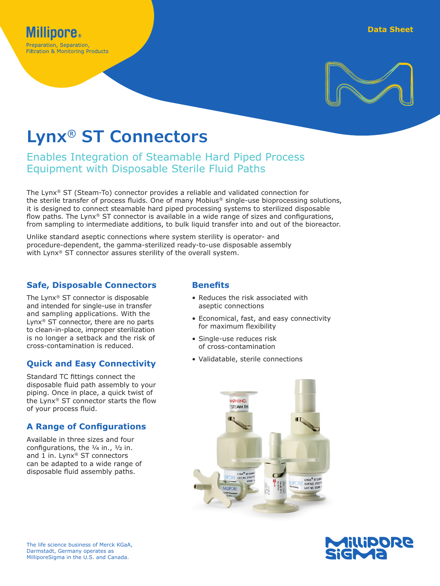

# **Lynx® ST Connectors**

## Enables Integration of Steamable Hard Piped Process Equipment with Disposable Sterile Fluid Paths

The Lynx® ST (Steam-To) connector provides a reliable and validated connection for the sterile transfer of process fluids. One of many Mobius® single-use bioprocessing solutions, it is designed to connect steamable hard piped processing systems to sterilized disposable flow paths. The Lynx<sup>®</sup> ST connector is available in a wide range of sizes and configurations, from sampling to intermediate additions, to bulk liquid transfer into and out of the bioreactor.

Unlike standard aseptic connections where system sterility is operator- and procedure-dependent, the gamma-sterilized ready-to-use disposable assembly with Lynx® ST connector assures sterility of the overall system.

### **Safe, Disposable Connectors**

The Lynx® ST connector is disposable and intended for single-use in transfer and sampling applications. With the Lynx® ST connector, there are no parts to clean-in-place, improper sterilization is no longer a setback and the risk of cross-contamination is reduced.

## **Quick and Easy Connectivity**

Standard TC fittings connect the disposable fluid path assembly to your piping. Once in place, a quick twist of the Lynx® ST connector starts the flow of your process fluid.

## **A Range of Configurations**

Available in three sizes and four configurations, the  $\frac{1}{4}$  in.,  $\frac{1}{2}$  in. and 1 in. Lynx® ST connectors can be adapted to a wide range of disposable fluid assembly paths.

## **Benefits**

- Reduces the risk associated with aseptic connections
- Economical, fast, and easy connectivity for maximum flexibility
- Single-use reduces risk of cross-contamination
- Validatable, sterile connections



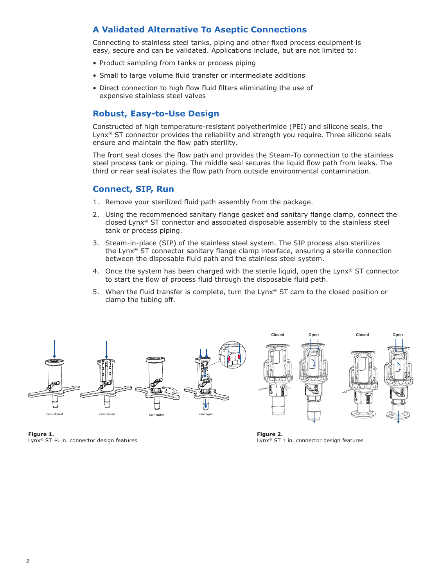## **A Validated Alternative To Aseptic Connections**

Connecting to stainless steel tanks, piping and other fixed process equipment is easy, secure and can be validated. Applications include, but are not limited to:

- Product sampling from tanks or process piping
- Small to large volume fluid transfer or intermediate additions
- Direct connection to high flow fluid filters eliminating the use of expensive stainless steel valves

#### **Robust, Easy-to-Use Design**

Constructed of high temperature-resistant polyetherimide (PEI) and silicone seals, the Lynx<sup>®</sup> ST connector provides the reliability and strength you require. Three silicone seals ensure and maintain the flow path sterility.

The front seal closes the flow path and provides the Steam-To connection to the stainless steel process tank or piping. The middle seal secures the liquid flow path from leaks. The third or rear seal isolates the flow path from outside environmental contamination.

#### **Connect, SIP, Run**

- 1. Remove your sterilized fluid path assembly from the package.
- 2. Using the recommended sanitary flange gasket and sanitary flange clamp, connect the closed Lynx® ST connector and associated disposable assembly to the stainless steel tank or process piping.
- 3. Steam-in-place (SIP) of the stainless steel system. The SIP process also sterilizes the Lynx® ST connector sanitary flange clamp interface, ensuring a sterile connection between the disposable fluid path and the stainless steel system.
- 4. Once the system has been charged with the sterile liquid, open the Lynx<sup>®</sup> ST connector to start the flow of process fluid through the disposable fluid path.
- 5. When the fluid transfer is complete, turn the Lynx® ST cam to the closed position or clamp the tubing off.



**Figure 1.** Lynx<sup>®</sup> ST 1/2 in. connector design features

**Figure 2.** Lynx® ST 1 in. connector design features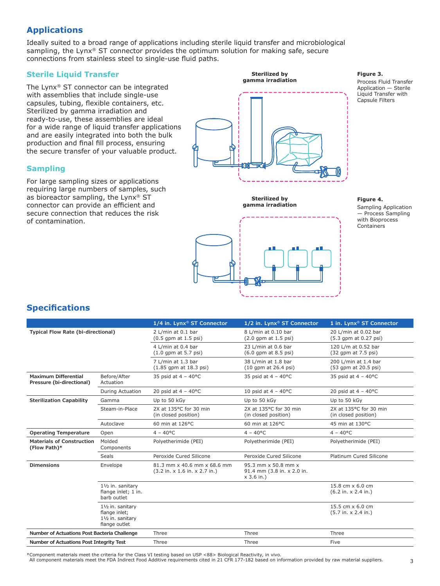## **Applications**

Ideally suited to a broad range of applications including sterile liquid transfer and microbiological sampling, the Lynx<sup>®</sup> ST connector provides the optimum solution for making safe, secure connections from stainless steel to single-use fluid paths.

#### **Sterile Liquid Transfer**

The Lynx® ST connector can be integrated with assemblies that include single-use capsules, tubing, flexible containers, etc. Sterilized by gamma irradiation and ready-to-use, these assemblies are ideal for a wide range of liquid transfer applications and are easily integrated into both the bulk production and final fill process, ensuring the secure transfer of your valuable product.

#### **Sampling**

For large sampling sizes or applications requiring large numbers of samples, such as bioreactor sampling, the Lynx® ST connector can provide an efficient and secure connection that reduces the risk of contamination.



**Sterilized by gamma irradiation**



**Figure 3.**

Process Fluid Transfer Application — Sterile Liquid Transfer with Capsule Filters

#### **Figure 4.**

Sampling Application — Process Sampling with Bioprocess Containers

## **Specifications**

|                                                          |                                                                          | 1/4 in. Lynx <sup>®</sup> ST Connector                       | 1/2 in. Lynx <sup>®</sup> ST Connector                            | 1 in. Lynx <sup>®</sup> ST Connector                                  |
|----------------------------------------------------------|--------------------------------------------------------------------------|--------------------------------------------------------------|-------------------------------------------------------------------|-----------------------------------------------------------------------|
| <b>Typical Flow Rate (bi-directional)</b>                |                                                                          | 2 L/min at 0.1 bar<br>$(0.5$ qpm at $1.5$ psi)               | 8 L/min at 0.10 bar<br>$(2.0$ qpm at $1.5$ psi)                   | 20 L/min at 0.02 bar<br>(5.3 qpm at 0.27 psi)                         |
|                                                          |                                                                          | 4 L/min at 0.4 bar<br>$(1.0$ gpm at 5.7 psi)                 | 23 L/min at 0.6 bar<br>$(6.0$ qpm at 8.5 psi)                     | 120 L/m at 0.52 bar<br>$(32$ gpm at $7.5$ psi)                        |
|                                                          |                                                                          | 7 L/min at 1.3 bar<br>$(1.85$ qpm at $18.3$ psi)             | 38 L/min at 1.8 bar<br>(10 qpm at 26.4 psi)                       | 200 L/min at 1.4 bar<br>(53 qpm at 20.5 psi)                          |
| <b>Maximum Differential</b><br>Pressure (bi-directional) | Before/After<br>Actuation                                                | 35 psid at $4 - 40^{\circ}$ C                                | 35 psid at $4 - 40$ °C                                            | 35 psid at $4 - 40^{\circ}$ C                                         |
|                                                          | During Actuation                                                         | 20 psid at $4 - 40^{\circ}$ C                                | 10 psid at $4 - 40^{\circ}$ C                                     | 20 psid at $4 - 40^{\circ}$ C                                         |
| <b>Sterilization Capability</b>                          | Gamma                                                                    | Up to 50 kGy                                                 | Up to 50 kGy                                                      | Up to 50 kGy                                                          |
|                                                          | Steam-in-Place                                                           | 2X at 135°C for 30 min<br>(in closed position)               | 2X at 135°C for 30 min<br>(in closed position)                    | 2X at 135°C for 30 min<br>(in closed position)                        |
|                                                          | Autoclave                                                                | 60 min at 126°C                                              | 60 min at 126°C                                                   | 45 min at 130°C                                                       |
| <b>Operating Temperature</b>                             | Open                                                                     | $4 - 40^{\circ}C$                                            | $4 - 40^{\circ}$ C                                                | $4 - 40^{\circ}C$                                                     |
| <b>Materials of Construction</b><br>(Flow Path)*         | Molded<br>Components                                                     | Polyetherimide (PEI)                                         | Polyetherimide (PEI)                                              | Polyetherimide (PEI)                                                  |
|                                                          | <b>Seals</b>                                                             | Peroxide Cured Silicone                                      | Peroxide Cured Silicone                                           | Platinum Cured Silicone                                               |
| <b>Dimensions</b>                                        | Envelope                                                                 | 81.3 mm x 40.6 mm x 68.6 mm<br>(3.2 in. x 1.6 in. x 2.7 in.) | 95.3 mm x 50.8 mm x<br>91.4 mm (3.8 in. x 2.0 in.<br>$x$ 3.6 in.) |                                                                       |
|                                                          | 11/2 in. sanitary<br>flange inlet; 1 in.<br>barb outlet                  |                                                              |                                                                   | 15.8 cm $\times$ 6.0 cm<br>$(6.2 \text{ in.} \times 2.4 \text{ in.})$ |
|                                                          | 11/2 in. sanitary<br>flange inlet;<br>11/2 in. sanitary<br>flange outlet |                                                              |                                                                   | 15.5 cm $\times$ 6.0 cm<br>(5.7 in. x 2.4 in.)                        |
| Number of Actuations Post Bacteria Challenge             |                                                                          | Three                                                        | Three                                                             | Three                                                                 |
| Number of Actuations Post Integrity Test                 |                                                                          | Three                                                        | Three                                                             | Five                                                                  |

\*Component materials meet the criteria for the Class VI testing based on USP <88> Biological Reactivity, in vivo.

All component materials meet the FDA Indirect Food Additive requirements cited in 21 CFR 177-182 based on information provided by raw material suppliers.